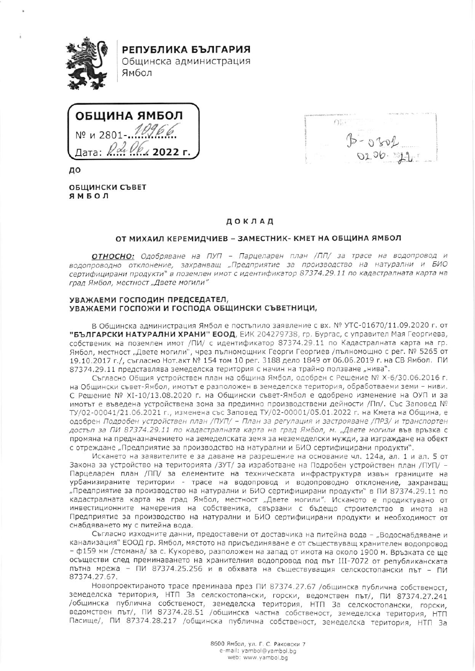

РЕПУБЛИКА БЪЛГАРИЯ

Общинска администрация Ямбол



до

ОБЩИНСКИ СЪВЕТ ЯМБОЛ

 $O_{11}^{7.7}$ 

# ДОКЛАД

## ОТ МИХАИЛ КЕРЕМИДЧИЕВ - ЗАМЕСТНИК- КМЕТ НА ОБЩИНА ЯМБОЛ

ОТНОСНО: Одобряване на ПУП - Парцеларен план /ПП/ за трасе на водопровод и водопроводно отклонение, захранващ "Предприятие за производство на натурални и БИО сертифицирани продукти" в поземлен имот с идентификатор 87374.29.11 по кадастралната карта на град Ямбол, местност "Двете могили"

#### УВАЖАЕМИ ГОСПОДИН ПРЕДСЕДАТЕЛ, УВАЖАЕМИ ГОСПОЖИ И ГОСПОДА ОБЩИНСКИ СЪВЕТНИЦИ,

В Общинска администрация Ямбол е постъпило заявление с вх. № УТС-01670/11.09.2020 г. от "БЪЛГАРСКИ НАТУРАЛНИ ХРАНИ" ЕООД, ЕИК 204279738, гр. Бургас, с управител Мая Георгиева, собственик на поземлен имот /ПИ/ с идентификатор 87374.29.11 по Кадастралната карта на гр. Ямбол, местност "Двете могили", чрез пълномощник Георги Георгиев /пълномощно с рег. № 5265 от 19.10.2017 г./, съгласно Нот.акт № 154 том 10 рег. 3188 дело 1849 от 06.06.2019 г. на СВ Ямбол. ПИ 87374.29.11 представлява земеделска територия с начин на трайно ползване "нива".

Съгласно Общия устройствен план на община Ямбол, одобрен с Решение № Х-6/30.06.2016 г. на Общински съвет-Ямбол, имотът е разположен в земеделска територия, обработваеми земи - ниви. С Решение № XI-10/13.08.2020 г. на Общински съвет-Ямбол е одобрено изменение на ОУП и за имотът е въведена устройствена зона за предимно производствени дейности /Пп/. Със Заповед № ТУ/02-00041/21.06.2021 г., изменена със Заповед ТУ/02-00001/05.01.2022 г. на Кмета на Община, е одобрен Подробен устройствен план /ПУП/ - План за регулация и застрояване /ПРЗ/ и транспортен достъп за ПИ 87374.29.11 по кадастралната карта на град Ямбол, м. "Двете могили във връзка с промяна на предназначението на земеделската земя за неземеделски нужди, за изграждане на обект с отреждане "Предприятие за производство на натурални и БИО сертифицирани продукти".

Искането на заявителите е за даване на разрешение на основание чл. 124а, ал. 1 и ал. 5 от Закона за устройство на територията /ЗУТ/ за изработване на Подробен устройствен план /ПУП/ -Парцеларен план /ПП/ за елементите на техническата инфраструктура извън границите на урбанизираните територии - трасе на водопровод и водопроводно отклонение, захранващ "Предприятие за производство на натурални и БИО сертифицирани продукти" в ПИ 87374.29.11 по кадастралната карта на град Ямбол, местност "Двете могили". Исканото е продиктувано от инвестиционните намерения на собственика, свързани с бъдещо строителство в имота на Предприятие за производство на натурални и БИО сертифицирани продукти и необходимост от снабдяването му с питейна вода.

Съгласно изходните данни, предоставени от доставчика на питейна вода - "Водоснабдяване и канализация" ЕООД гр. Ямбол, мястото на присъединяване е от съществуващ хранителен водопровод - ф159 мм /стомана/ за с. Кукорево, разположен на запад от имота на около 1900 м. Връзката се ще осъществи след преминаването на хранителния водопровод под път III-7072 от републиканската пътна мрежа - ПИ 87374.25.256 и в обхвата на съществуващия селскостопански път - ПИ 87374.27.67.

Новопроектираното трасе преминава през ПИ 87374.27.67 /общинска публична собственост, земеделска територия, НТП За селскостопански, горски, ведомствен път/, ПИ 87374.27.241 /общинска публична собственост, земеделска територия, НТП За селскостопански, горски, ведомствен път/, ПИ 87374.28.51 /общинска частна собственост, земеделска територия, НТП Пасище/, ПИ 87374.28.217 /общинска публична собственост, земеделска територия, НТП За